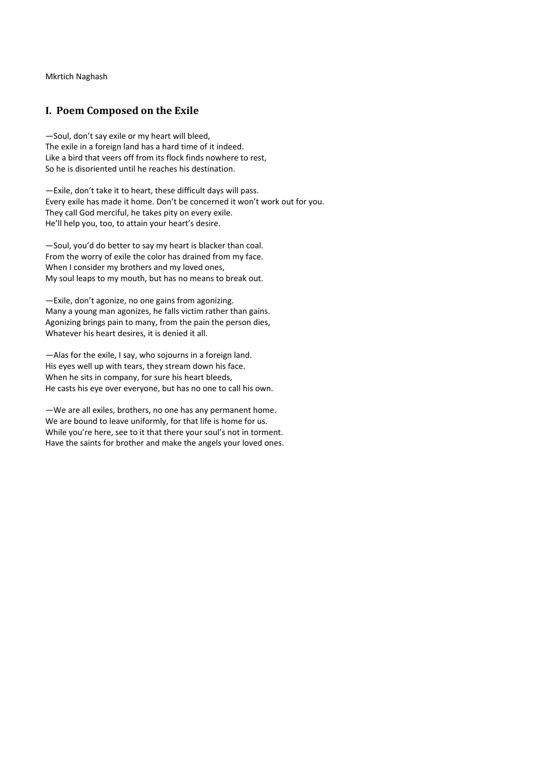Mkrtich Naghash

## **I. Poem Composed on the Exile**

—Soul, don't say exile or my heart will bleed, The exile in a foreign land has a hard time of it indeed. Like a bird that veers off from its flock finds nowhere to rest, So he is disoriented until he reaches his destination.

—Exile, don't take it to heart, these difficult days will pass. Every exile has made it home. Don't be concerned it won't work out for you. They call God merciful, he takes pity on every exile. He'll help you, too, to attain your heart's desire.

—Soul, you'd do better to say my heart is blacker than coal. From the worry of exile the color has drained from my face. When I consider my brothers and my loved ones, My soul leaps to my mouth, but has no means to break out.

—Exile, don't agonize, no one gains from agonizing. Many a young man agonizes, he falls victim rather than gains. Agonizing brings pain to many, from the pain the person dies, Whatever his heart desires, it is denied it all.

—Alas for the exile, I say, who sojourns in a foreign land. His eyes well up with tears, they stream down his face. When he sits in company, for sure his heart bleeds, He casts his eye over everyone, but has no one to call his own.

—We are all exiles, brothers, no one has any permanent home. We are bound to leave uniformly, for that life is home for us. While you're here, see to it that there your soul's not in torment. Have the saints for brother and make the angels your loved ones.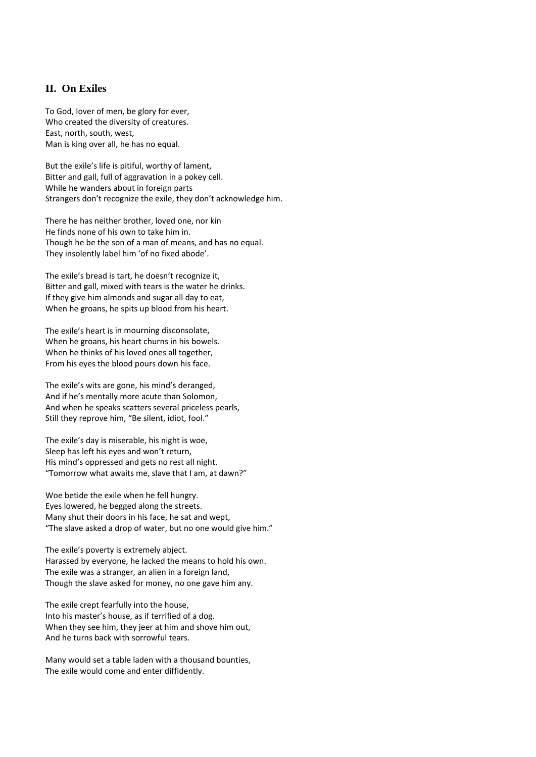## **II. On Exiles**

To God, lover of men, be glory for ever, Who created the diversity of creatures. East, north, south, west, Man is king over all, he has no equal.

But the exile's life is pitiful, worthy of lament, Bitter and gall, full of aggravation in a pokey cell. While he wanders about in foreign parts Strangers don't recognize the exile, they don't acknowledge him.

There he has neither brother, loved one, nor kin He finds none of his own to take him in. Though he be the son of a man of means, and has no equal. They insolently label him 'of no fixed abode'.

The exile's bread is tart, he doesn't recognize it, Bitter and gall, mixed with tears is the water he drinks. If they give him almonds and sugar all day to eat, When he groans, he spits up blood from his heart.

The exile's heart is in mourning disconsolate, When he groans, his heart churns in his bowels. When he thinks of his loved ones all together, From his eyes the blood pours down his face.

The exile's wits are gone, his mind's deranged, And if he's mentally more acute than Solomon, And when he speaks scatters several priceless pearls, Still they reprove him, "Be silent, idiot, fool."

The exile's day is miserable, his night is woe, Sleep has left his eyes and won't return, His mind's oppressed and gets no rest all night. "Tomorrow what awaits me, slave that I am, at dawn?"

Woe betide the exile when he fell hungry. Eyes lowered, he begged along the streets. Many shut their doors in his face, he sat and wept, "The slave asked a drop of water, but no one would give him."

The exile's poverty is extremely abject. Harassed by everyone, he lacked the means to hold his own. The exile was a stranger, an alien in a foreign land, Though the slave asked for money, no one gave him any.

The exile crept fearfully into the house, Into his master's house, as if terrified of a dog. When they see him, they jeer at him and shove him out, And he turns back with sorrowful tears.

Many would set a table laden with a thousand bounties, The exile would come and enter diffidently.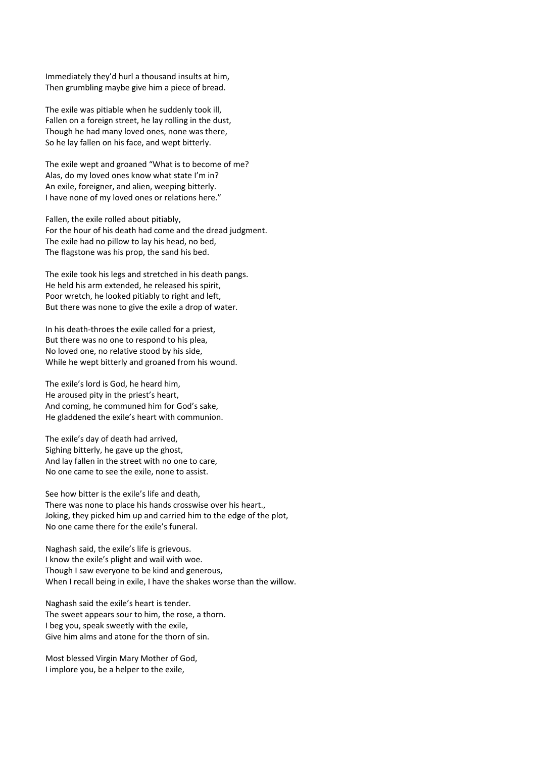Immediately they'd hurl a thousand insults at him, Then grumbling maybe give him a piece of bread.

The exile was pitiable when he suddenly took ill, Fallen on a foreign street, he lay rolling in the dust, Though he had many loved ones, none was there, So he lay fallen on his face, and wept bitterly.

The exile wept and groaned "What is to become of me? Alas, do my loved ones know what state I'm in? An exile, foreigner, and alien, weeping bitterly. I have none of my loved ones or relations here."

Fallen, the exile rolled about pitiably, For the hour of his death had come and the dread judgment. The exile had no pillow to lay his head, no bed, The flagstone was his prop, the sand his bed.

The exile took his legs and stretched in his death pangs. He held his arm extended, he released his spirit, Poor wretch, he looked pitiably to right and left, But there was none to give the exile a drop of water.

In his death‐throes the exile called for a priest, But there was no one to respond to his plea, No loved one, no relative stood by his side, While he wept bitterly and groaned from his wound.

The exile's lord is God, he heard him, He aroused pity in the priest's heart, And coming, he communed him for God's sake, He gladdened the exile's heart with communion.

The exile's day of death had arrived, Sighing bitterly, he gave up the ghost, And lay fallen in the street with no one to care, No one came to see the exile, none to assist.

See how bitter is the exile's life and death, There was none to place his hands crosswise over his heart., Joking, they picked him up and carried him to the edge of the plot, No one came there for the exile's funeral.

Naghash said, the exile's life is grievous. I know the exile's plight and wail with woe. Though I saw everyone to be kind and generous, When I recall being in exile, I have the shakes worse than the willow.

Naghash said the exile's heart is tender. The sweet appears sour to him, the rose, a thorn. I beg you, speak sweetly with the exile, Give him alms and atone for the thorn of sin.

Most blessed Virgin Mary Mother of God, I implore you, be a helper to the exile,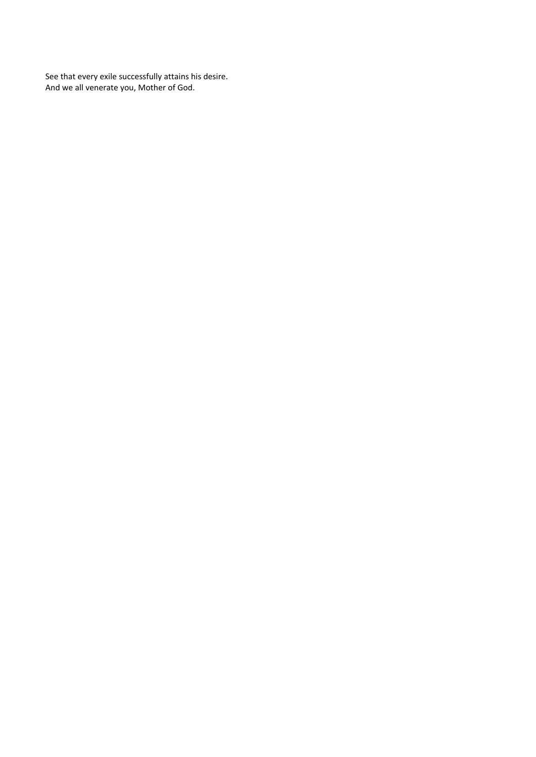See that every exile successfully attains his desire. And we all venerate you, Mother of God.